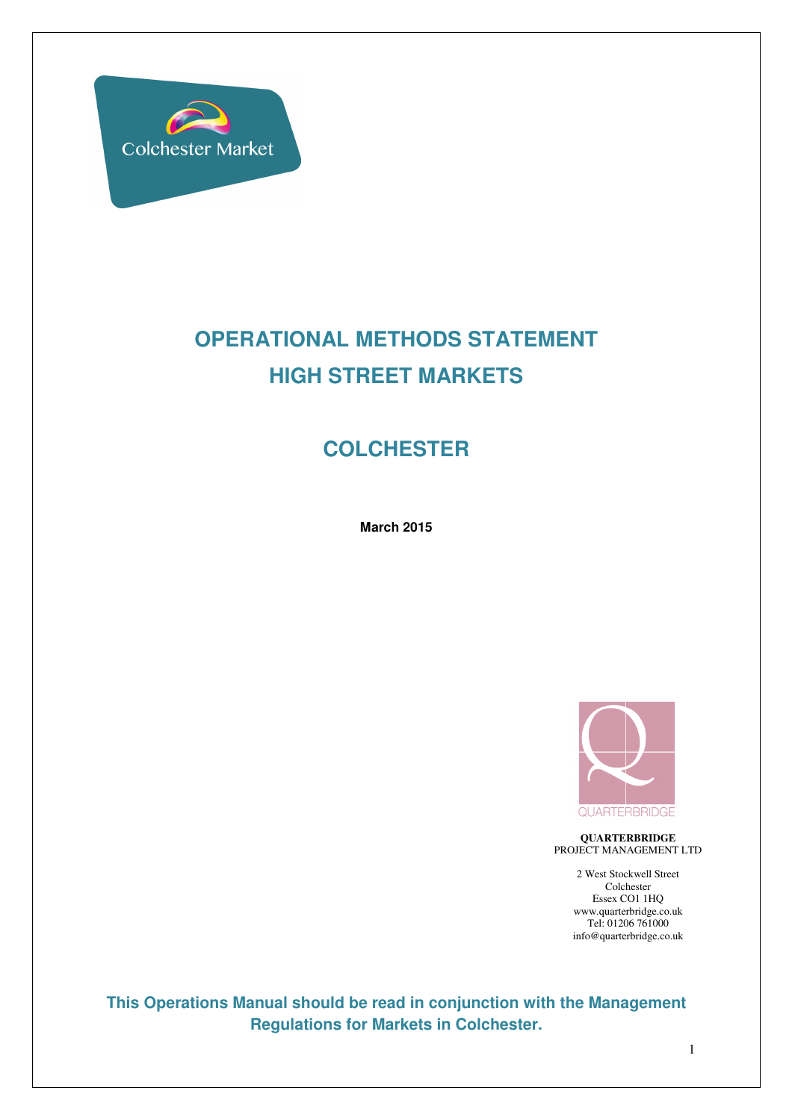

# **OPERATIONAL METHODS STATEMENT HIGH STREET MARKETS**

# **COLCHESTER**

**March 2015** 



**QUARTERBRIDGE**  PROJECT MANAGEMENT LTD

> 2 West Stockwell Street Colchester Essex CO1 1HQ www.quarterbridge.co.uk Tel: 01206 761000 info@quarterbridge.co.uk

**This Operations Manual should be read in conjunction with the Management Regulations for Markets in Colchester.**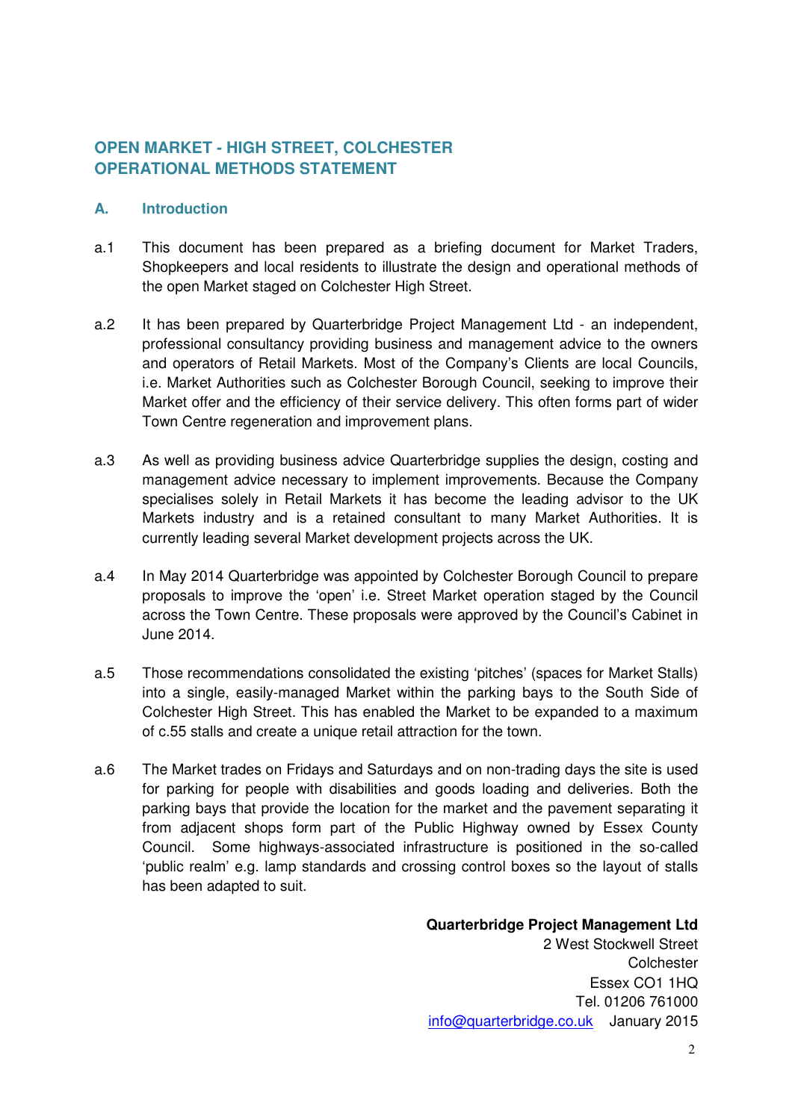### **OPEN MARKET - HIGH STREET, COLCHESTER OPERATIONAL METHODS STATEMENT**

#### **A. Introduction**

- a.1 This document has been prepared as a briefing document for Market Traders, Shopkeepers and local residents to illustrate the design and operational methods of the open Market staged on Colchester High Street.
- a.2 It has been prepared by Quarterbridge Project Management Ltd an independent, professional consultancy providing business and management advice to the owners and operators of Retail Markets. Most of the Company's Clients are local Councils, i.e. Market Authorities such as Colchester Borough Council, seeking to improve their Market offer and the efficiency of their service delivery. This often forms part of wider Town Centre regeneration and improvement plans.
- a.3 As well as providing business advice Quarterbridge supplies the design, costing and management advice necessary to implement improvements. Because the Company specialises solely in Retail Markets it has become the leading advisor to the UK Markets industry and is a retained consultant to many Market Authorities. It is currently leading several Market development projects across the UK.
- a.4 In May 2014 Quarterbridge was appointed by Colchester Borough Council to prepare proposals to improve the 'open' i.e. Street Market operation staged by the Council across the Town Centre. These proposals were approved by the Council's Cabinet in June 2014.
- a.5 Those recommendations consolidated the existing 'pitches' (spaces for Market Stalls) into a single, easily-managed Market within the parking bays to the South Side of Colchester High Street. This has enabled the Market to be expanded to a maximum of c.55 stalls and create a unique retail attraction for the town.
- a.6 The Market trades on Fridays and Saturdays and on non-trading days the site is used for parking for people with disabilities and goods loading and deliveries. Both the parking bays that provide the location for the market and the pavement separating it from adjacent shops form part of the Public Highway owned by Essex County Council. Some highways-associated infrastructure is positioned in the so-called 'public realm' e.g. lamp standards and crossing control boxes so the layout of stalls has been adapted to suit.

**Quarterbridge Project Management Ltd**  2 West Stockwell Street **Colchester** Essex CO1 1HQ Tel. 01206 761000 info@quarterbridge.co.uk January 2015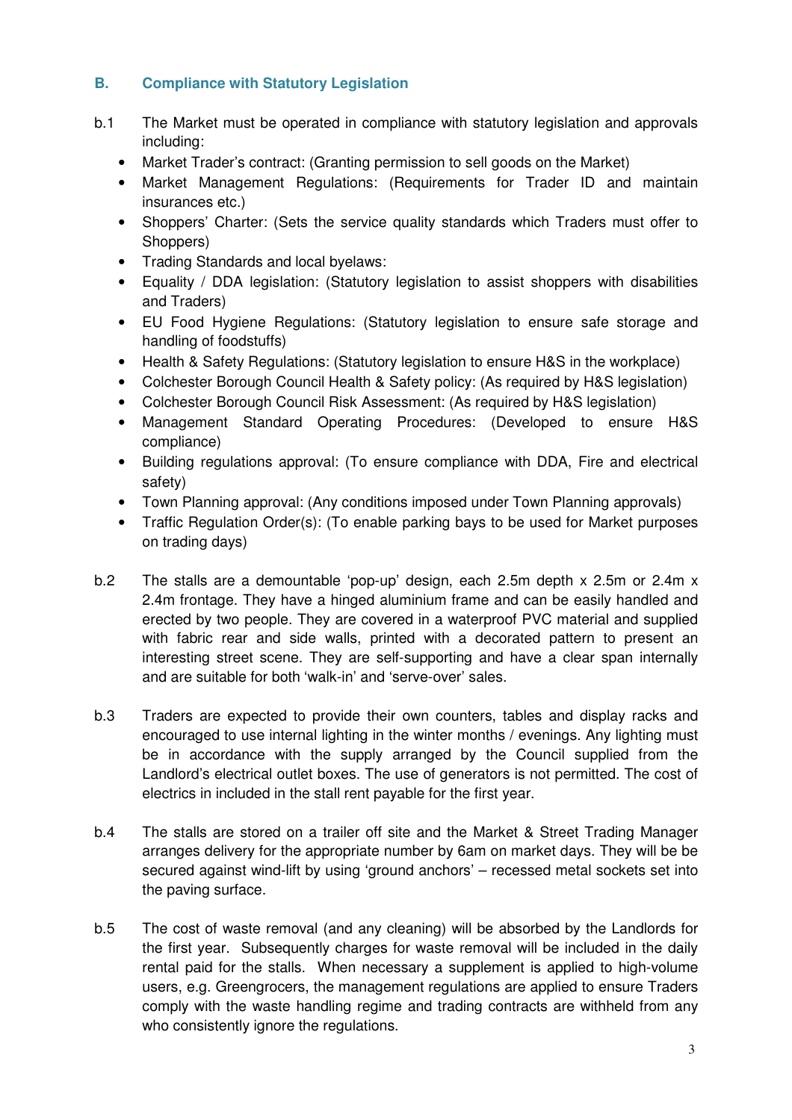#### **B. Compliance with Statutory Legislation**

- b.1 The Market must be operated in compliance with statutory legislation and approvals including:
	- Market Trader's contract: (Granting permission to sell goods on the Market)
	- Market Management Regulations: (Requirements for Trader ID and maintain insurances etc.)
	- Shoppers' Charter: (Sets the service quality standards which Traders must offer to Shoppers)
	- Trading Standards and local byelaws:
	- Equality / DDA legislation: (Statutory legislation to assist shoppers with disabilities and Traders)
	- EU Food Hygiene Regulations: (Statutory legislation to ensure safe storage and handling of foodstuffs)
	- Health & Safety Regulations: (Statutory legislation to ensure H&S in the workplace)
	- Colchester Borough Council Health & Safety policy: (As required by H&S legislation)
	- Colchester Borough Council Risk Assessment: (As required by H&S legislation)
	- Management Standard Operating Procedures: (Developed to ensure H&S compliance)
	- Building regulations approval: (To ensure compliance with DDA, Fire and electrical safety)
	- Town Planning approval: (Any conditions imposed under Town Planning approvals)
	- Traffic Regulation Order(s): (To enable parking bays to be used for Market purposes on trading days)
- b.2 The stalls are a demountable 'pop-up' design, each 2.5m depth x 2.5m or 2.4m x 2.4m frontage. They have a hinged aluminium frame and can be easily handled and erected by two people. They are covered in a waterproof PVC material and supplied with fabric rear and side walls, printed with a decorated pattern to present an interesting street scene. They are self-supporting and have a clear span internally and are suitable for both 'walk-in' and 'serve-over' sales.
- b.3 Traders are expected to provide their own counters, tables and display racks and encouraged to use internal lighting in the winter months / evenings. Any lighting must be in accordance with the supply arranged by the Council supplied from the Landlord's electrical outlet boxes. The use of generators is not permitted. The cost of electrics in included in the stall rent payable for the first year.
- b.4 The stalls are stored on a trailer off site and the Market & Street Trading Manager arranges delivery for the appropriate number by 6am on market days. They will be be secured against wind-lift by using 'ground anchors' – recessed metal sockets set into the paving surface.
- b.5 The cost of waste removal (and any cleaning) will be absorbed by the Landlords for the first year. Subsequently charges for waste removal will be included in the daily rental paid for the stalls. When necessary a supplement is applied to high-volume users, e.g. Greengrocers, the management regulations are applied to ensure Traders comply with the waste handling regime and trading contracts are withheld from any who consistently ignore the regulations.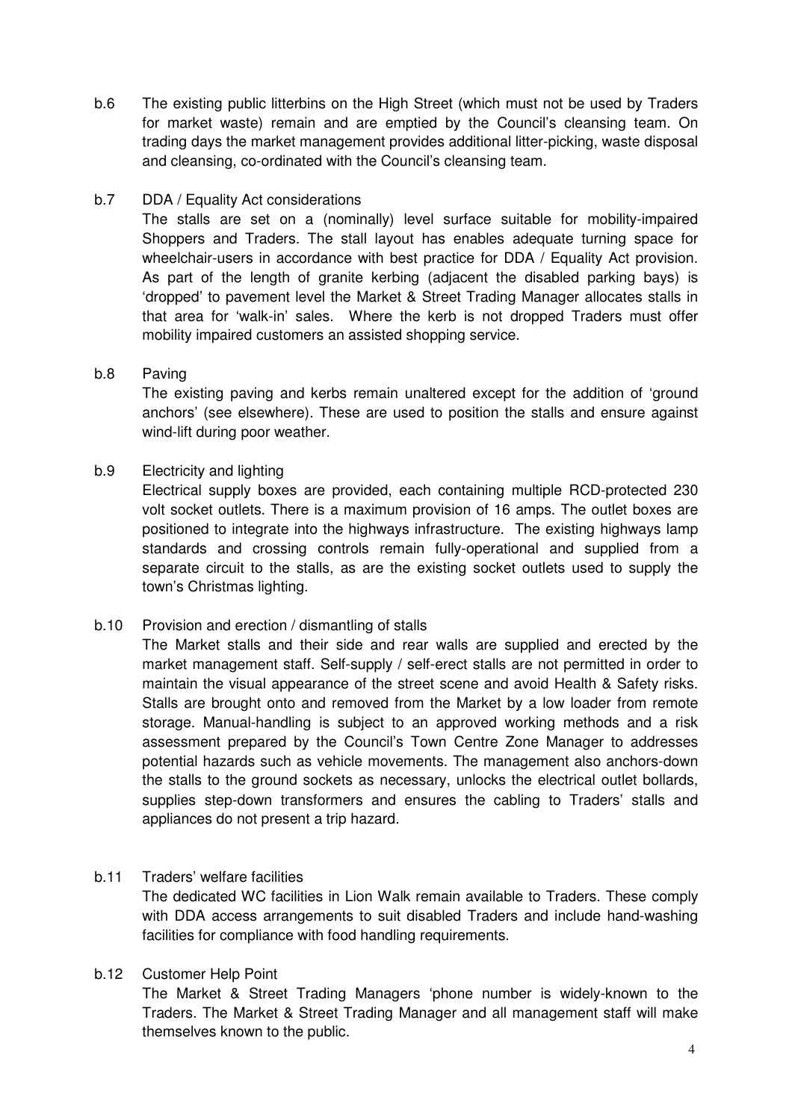b.6 The existing public litterbins on the High Street (which must not be used by Traders for market waste) remain and are emptied by the Council's cleansing team. On trading days the market management provides additional litter-picking, waste disposal and cleansing, co-ordinated with the Council's cleansing team.

#### b.7 DDA / Equality Act considerations

The stalls are set on a (nominally) level surface suitable for mobility-impaired Shoppers and Traders. The stall layout has enables adequate turning space for wheelchair-users in accordance with best practice for DDA / Equality Act provision. As part of the length of granite kerbing (adjacent the disabled parking bays) is 'dropped' to pavement level the Market & Street Trading Manager allocates stalls in that area for 'walk-in' sales. Where the kerb is not dropped Traders must offer mobility impaired customers an assisted shopping service.

#### b.8 Paving

The existing paving and kerbs remain unaltered except for the addition of 'ground anchors' (see elsewhere). These are used to position the stalls and ensure against wind-lift during poor weather.

#### b.9 Electricity and lighting

Electrical supply boxes are provided, each containing multiple RCD-protected 230 volt socket outlets. There is a maximum provision of 16 amps. The outlet boxes are positioned to integrate into the highways infrastructure. The existing highways lamp standards and crossing controls remain fully-operational and supplied from a separate circuit to the stalls, as are the existing socket outlets used to supply the town's Christmas lighting.

#### b.10 Provision and erection / dismantling of stalls

The Market stalls and their side and rear walls are supplied and erected by the market management staff. Self-supply / self-erect stalls are not permitted in order to maintain the visual appearance of the street scene and avoid Health & Safety risks. Stalls are brought onto and removed from the Market by a low loader from remote storage. Manual-handling is subject to an approved working methods and a risk assessment prepared by the Council's Town Centre Zone Manager to addresses potential hazards such as vehicle movements. The management also anchors-down the stalls to the ground sockets as necessary, unlocks the electrical outlet bollards, supplies step-down transformers and ensures the cabling to Traders' stalls and appliances do not present a trip hazard.

#### b.11 Traders' welfare facilities

The dedicated WC facilities in Lion Walk remain available to Traders. These comply with DDA access arrangements to suit disabled Traders and include hand-washing facilities for compliance with food handling requirements.

#### b.12 Customer Help Point

The Market & Street Trading Managers 'phone number is widely-known to the Traders. The Market & Street Trading Manager and all management staff will make themselves known to the public.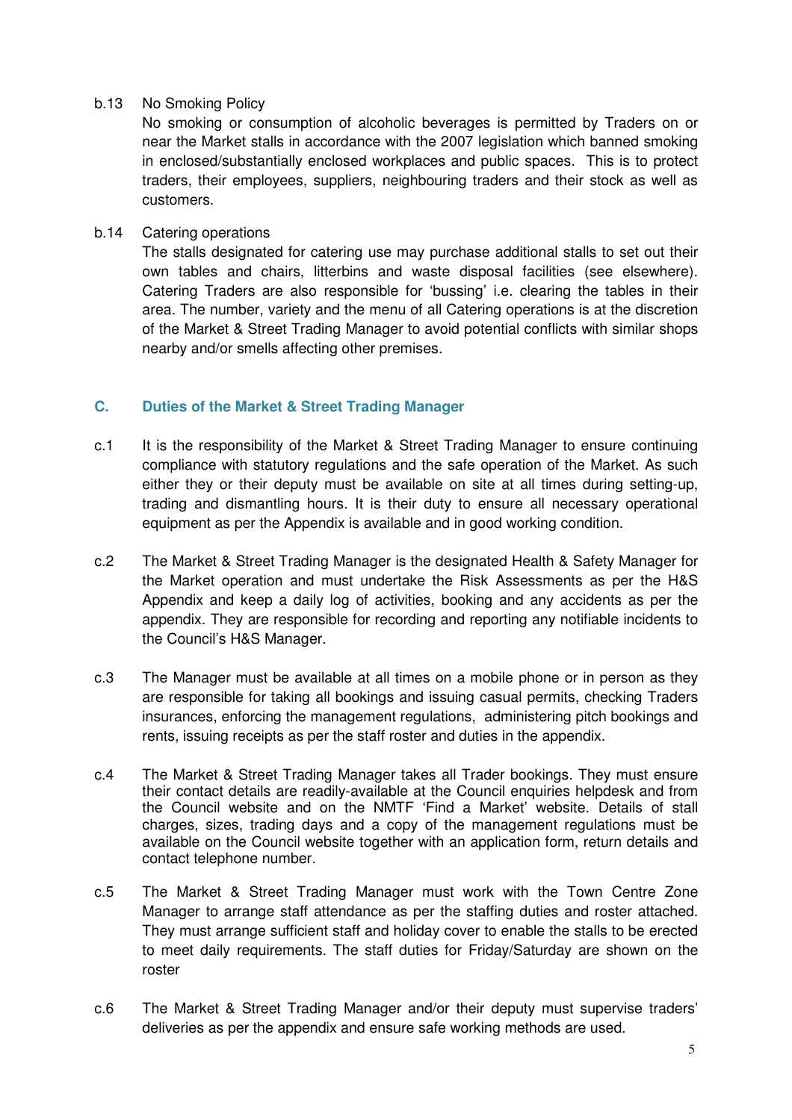#### b.13 No Smoking Policy

No smoking or consumption of alcoholic beverages is permitted by Traders on or near the Market stalls in accordance with the 2007 legislation which banned smoking in enclosed/substantially enclosed workplaces and public spaces. This is to protect traders, their employees, suppliers, neighbouring traders and their stock as well as customers.

#### b.14 Catering operations

The stalls designated for catering use may purchase additional stalls to set out their own tables and chairs, litterbins and waste disposal facilities (see elsewhere). Catering Traders are also responsible for 'bussing' i.e. clearing the tables in their area. The number, variety and the menu of all Catering operations is at the discretion of the Market & Street Trading Manager to avoid potential conflicts with similar shops nearby and/or smells affecting other premises.

#### **C. Duties of the Market & Street Trading Manager**

- c.1 It is the responsibility of the Market & Street Trading Manager to ensure continuing compliance with statutory regulations and the safe operation of the Market. As such either they or their deputy must be available on site at all times during setting-up, trading and dismantling hours. It is their duty to ensure all necessary operational equipment as per the Appendix is available and in good working condition.
- c.2 The Market & Street Trading Manager is the designated Health & Safety Manager for the Market operation and must undertake the Risk Assessments as per the H&S Appendix and keep a daily log of activities, booking and any accidents as per the appendix. They are responsible for recording and reporting any notifiable incidents to the Council's H&S Manager.
- c.3 The Manager must be available at all times on a mobile phone or in person as they are responsible for taking all bookings and issuing casual permits, checking Traders insurances, enforcing the management regulations, administering pitch bookings and rents, issuing receipts as per the staff roster and duties in the appendix.
- c.4 The Market & Street Trading Manager takes all Trader bookings. They must ensure their contact details are readily-available at the Council enquiries helpdesk and from the Council website and on the NMTF 'Find a Market' website. Details of stall charges, sizes, trading days and a copy of the management regulations must be available on the Council website together with an application form, return details and contact telephone number.
- c.5 The Market & Street Trading Manager must work with the Town Centre Zone Manager to arrange staff attendance as per the staffing duties and roster attached. They must arrange sufficient staff and holiday cover to enable the stalls to be erected to meet daily requirements. The staff duties for Friday/Saturday are shown on the roster
- c.6 The Market & Street Trading Manager and/or their deputy must supervise traders' deliveries as per the appendix and ensure safe working methods are used.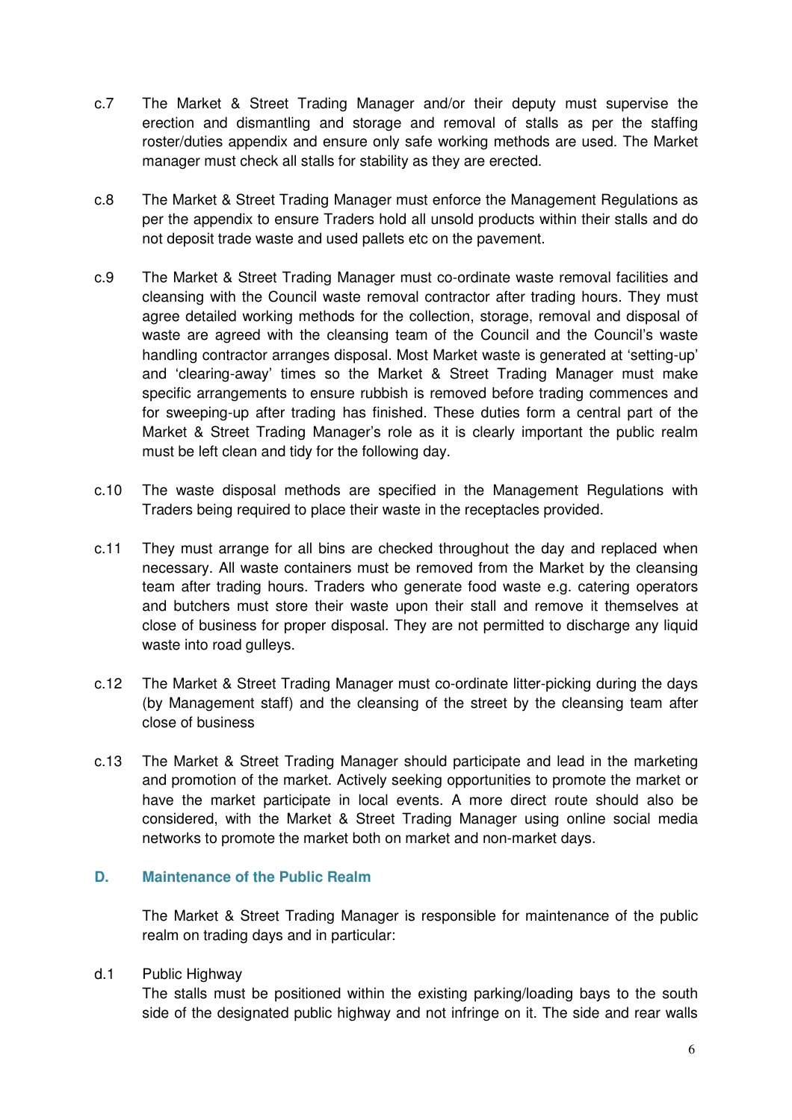- c.7 The Market & Street Trading Manager and/or their deputy must supervise the erection and dismantling and storage and removal of stalls as per the staffing roster/duties appendix and ensure only safe working methods are used. The Market manager must check all stalls for stability as they are erected.
- c.8 The Market & Street Trading Manager must enforce the Management Regulations as per the appendix to ensure Traders hold all unsold products within their stalls and do not deposit trade waste and used pallets etc on the pavement.
- c.9 The Market & Street Trading Manager must co-ordinate waste removal facilities and cleansing with the Council waste removal contractor after trading hours. They must agree detailed working methods for the collection, storage, removal and disposal of waste are agreed with the cleansing team of the Council and the Council's waste handling contractor arranges disposal. Most Market waste is generated at 'setting-up' and 'clearing-away' times so the Market & Street Trading Manager must make specific arrangements to ensure rubbish is removed before trading commences and for sweeping-up after trading has finished. These duties form a central part of the Market & Street Trading Manager's role as it is clearly important the public realm must be left clean and tidy for the following day.
- c.10 The waste disposal methods are specified in the Management Regulations with Traders being required to place their waste in the receptacles provided.
- c.11 They must arrange for all bins are checked throughout the day and replaced when necessary. All waste containers must be removed from the Market by the cleansing team after trading hours. Traders who generate food waste e.g. catering operators and butchers must store their waste upon their stall and remove it themselves at close of business for proper disposal. They are not permitted to discharge any liquid waste into road gulleys.
- c.12 The Market & Street Trading Manager must co-ordinate litter-picking during the days (by Management staff) and the cleansing of the street by the cleansing team after close of business
- c.13 The Market & Street Trading Manager should participate and lead in the marketing and promotion of the market. Actively seeking opportunities to promote the market or have the market participate in local events. A more direct route should also be considered, with the Market & Street Trading Manager using online social media networks to promote the market both on market and non-market days.

#### **D. Maintenance of the Public Realm**

The Market & Street Trading Manager is responsible for maintenance of the public realm on trading days and in particular:

#### d.1 Public Highway

The stalls must be positioned within the existing parking/loading bays to the south side of the designated public highway and not infringe on it. The side and rear walls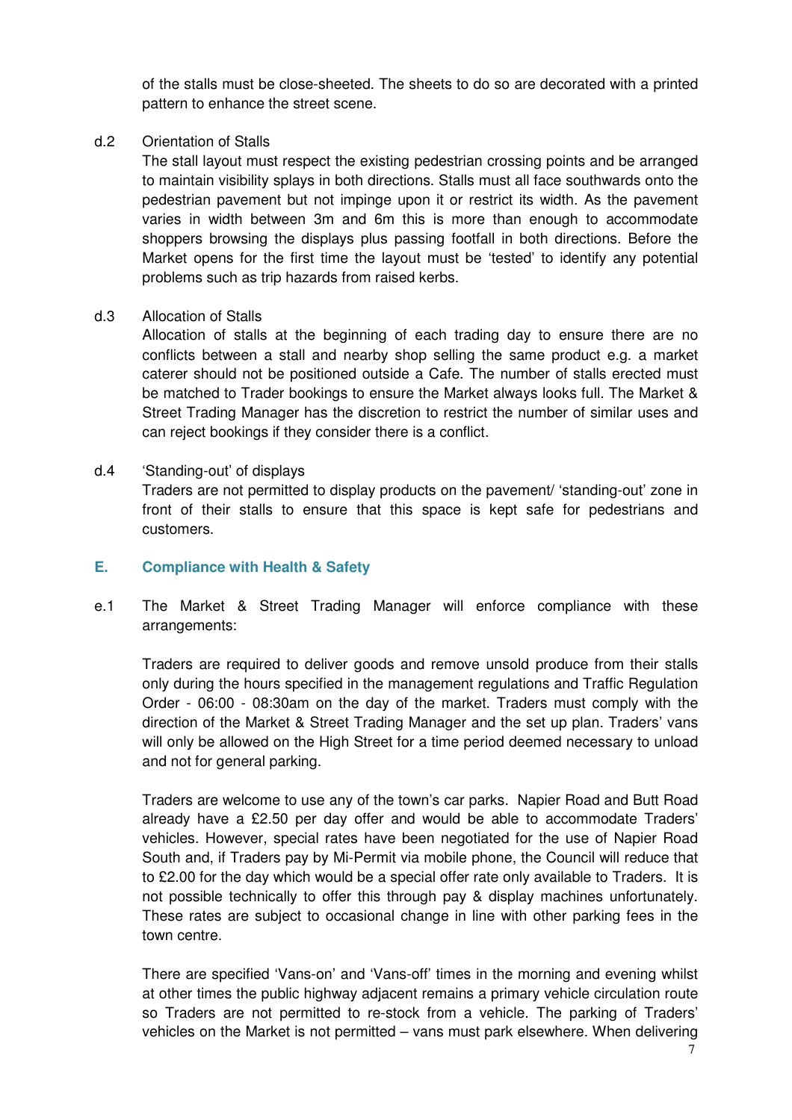of the stalls must be close-sheeted. The sheets to do so are decorated with a printed pattern to enhance the street scene.

#### d.2 Orientation of Stalls

The stall layout must respect the existing pedestrian crossing points and be arranged to maintain visibility splays in both directions. Stalls must all face southwards onto the pedestrian pavement but not impinge upon it or restrict its width. As the pavement varies in width between 3m and 6m this is more than enough to accommodate shoppers browsing the displays plus passing footfall in both directions. Before the Market opens for the first time the layout must be 'tested' to identify any potential problems such as trip hazards from raised kerbs.

#### d.3 Allocation of Stalls

Allocation of stalls at the beginning of each trading day to ensure there are no conflicts between a stall and nearby shop selling the same product e.g. a market caterer should not be positioned outside a Cafe. The number of stalls erected must be matched to Trader bookings to ensure the Market always looks full. The Market & Street Trading Manager has the discretion to restrict the number of similar uses and can reject bookings if they consider there is a conflict.

#### d.4 'Standing-out' of displays

Traders are not permitted to display products on the pavement/ 'standing-out' zone in front of their stalls to ensure that this space is kept safe for pedestrians and customers.

#### **E. Compliance with Health & Safety**

e.1 The Market & Street Trading Manager will enforce compliance with these arrangements:

Traders are required to deliver goods and remove unsold produce from their stalls only during the hours specified in the management regulations and Traffic Regulation Order - 06:00 - 08:30am on the day of the market. Traders must comply with the direction of the Market & Street Trading Manager and the set up plan. Traders' vans will only be allowed on the High Street for a time period deemed necessary to unload and not for general parking.

Traders are welcome to use any of the town's car parks. Napier Road and Butt Road already have a £2.50 per day offer and would be able to accommodate Traders' vehicles. However, special rates have been negotiated for the use of Napier Road South and, if Traders pay by Mi-Permit via mobile phone, the Council will reduce that to £2.00 for the day which would be a special offer rate only available to Traders. It is not possible technically to offer this through pay & display machines unfortunately. These rates are subject to occasional change in line with other parking fees in the town centre.

There are specified 'Vans-on' and 'Vans-off' times in the morning and evening whilst at other times the public highway adjacent remains a primary vehicle circulation route so Traders are not permitted to re-stock from a vehicle. The parking of Traders' vehicles on the Market is not permitted – vans must park elsewhere. When delivering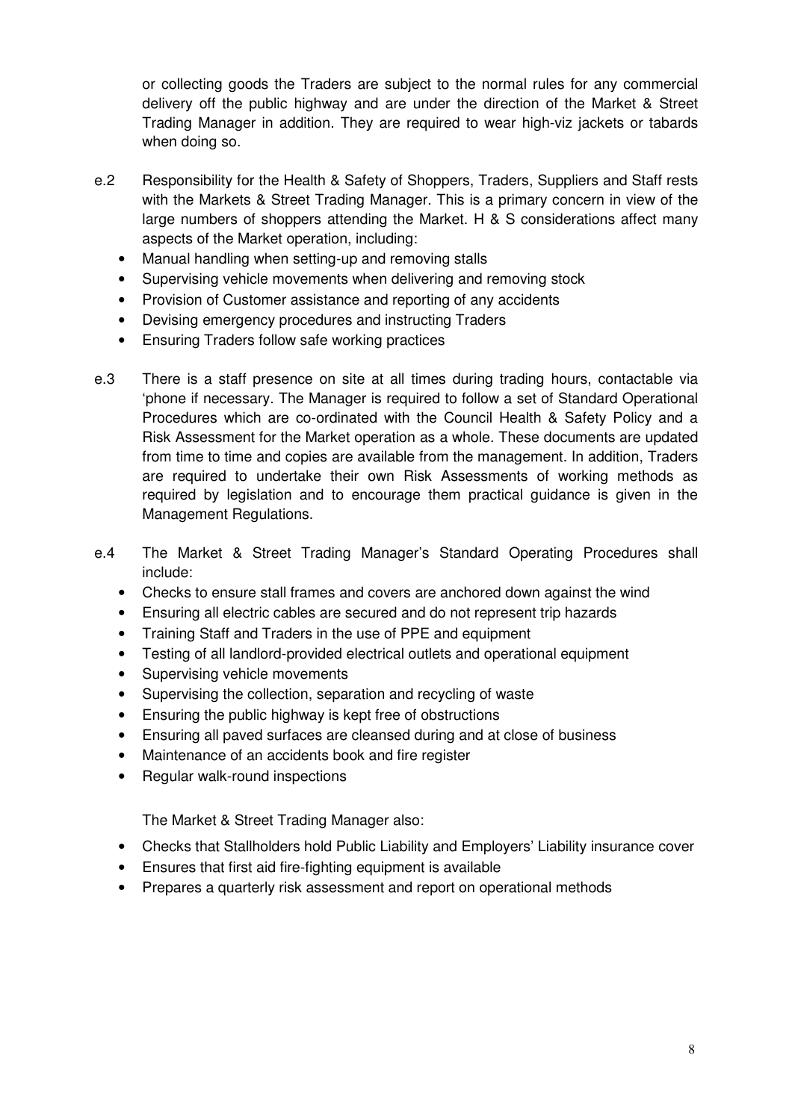or collecting goods the Traders are subject to the normal rules for any commercial delivery off the public highway and are under the direction of the Market & Street Trading Manager in addition. They are required to wear high-viz jackets or tabards when doing so.

- e.2 Responsibility for the Health & Safety of Shoppers, Traders, Suppliers and Staff rests with the Markets & Street Trading Manager. This is a primary concern in view of the large numbers of shoppers attending the Market. H & S considerations affect many aspects of the Market operation, including:
	- Manual handling when setting-up and removing stalls
	- Supervising vehicle movements when delivering and removing stock
	- Provision of Customer assistance and reporting of any accidents
	- Devising emergency procedures and instructing Traders
	- Ensuring Traders follow safe working practices
- e.3 There is a staff presence on site at all times during trading hours, contactable via 'phone if necessary. The Manager is required to follow a set of Standard Operational Procedures which are co-ordinated with the Council Health & Safety Policy and a Risk Assessment for the Market operation as a whole. These documents are updated from time to time and copies are available from the management. In addition, Traders are required to undertake their own Risk Assessments of working methods as required by legislation and to encourage them practical guidance is given in the Management Regulations.
- e.4 The Market & Street Trading Manager's Standard Operating Procedures shall include:
	- Checks to ensure stall frames and covers are anchored down against the wind
	- Ensuring all electric cables are secured and do not represent trip hazards
	- Training Staff and Traders in the use of PPE and equipment
	- Testing of all landlord-provided electrical outlets and operational equipment
	- Supervising vehicle movements
	- Supervising the collection, separation and recycling of waste
	- Ensuring the public highway is kept free of obstructions
	- Ensuring all paved surfaces are cleansed during and at close of business
	- Maintenance of an accidents book and fire register
	- Regular walk-round inspections

The Market & Street Trading Manager also:

- Checks that Stallholders hold Public Liability and Employers' Liability insurance cover
- Ensures that first aid fire-fighting equipment is available
- Prepares a quarterly risk assessment and report on operational methods